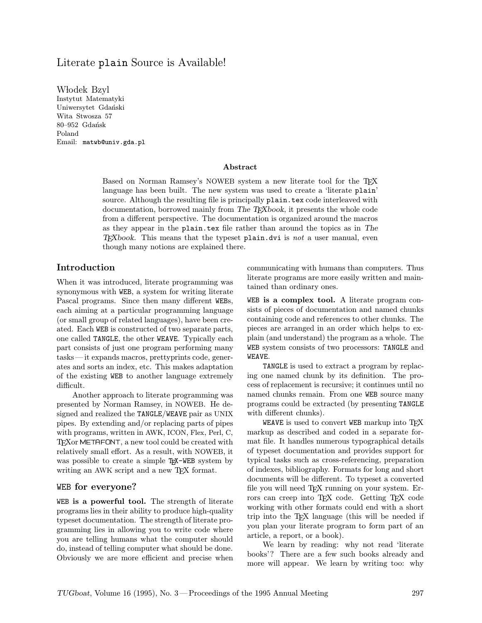# Literate plain Source is Available!

Włodek Bzyl Instytut Matematyki Uniwersytet Gdański Wita Stwosza 57 80–952 Gdańsk Poland Email: matwb@univ.gda.pl

### Abstract

Based on Norman Ramsey's NOWEB system a new literate tool for the TEX language has been built. The new system was used to create a 'literate plain' source. Although the resulting file is principally plain.tex code interleaved with documentation, borrowed mainly from The T<sub>EX</sub>book, it presents the whole code from a different perspective. The documentation is organized around the macros as they appear in the plain.tex file rather than around the topics as in The  $T_{F}X$ book. This means that the typeset plain.dvi is not a user manual, even though many notions are explained there.

## Introduction

When it was introduced, literate programming was synonymous with WEB, a system for writing literate Pascal programs. Since then many different WEBs, each aiming at a particular programming language (or small group of related languages), have been created. Each WEB is constructed of two separate parts, one called TANGLE, the other WEAVE. Typically each part consists of just one program performing many tasks—it expands macros, prettyprints code, generates and sorts an index, etc. This makes adaptation of the existing WEB to another language extremely difficult.

Another approach to literate programming was presented by Norman Ramsey, in NOWEB. He designed and realized the TANGLE/WEAVE pair as UNIX pipes. By extending and/or replacing parts of pipes with programs, written in AWK, ICON, Flex, Perl, C, TEXor METAFONT, a new tool could be created with relatively small effort. As a result, with NOWEB, it was possible to create a simple T<sub>EX</sub>-WEB system by writing an AWK script and a new TEX format.

## WEB for everyone?

WEB is a powerful tool. The strength of literate programs lies in their ability to produce high-quality typeset documentation. The strength of literate programming lies in allowing you to write code where you are telling humans what the computer should do, instead of telling computer what should be done. Obviously we are more efficient and precise when

communicating with humans than computers. Thus literate programs are more easily written and maintained than ordinary ones.

WEB is a complex tool. A literate program consists of pieces of documentation and named chunks containing code and references to other chunks. The pieces are arranged in an order which helps to explain (and understand) the program as a whole. The WEB system consists of two processors: TANGLE and WEAVE.

TANGLE is used to extract a program by replacing one named chunk by its definition. The process of replacement is recursive; it continues until no named chunks remain. From one WEB source many programs could be extracted (by presenting TANGLE with different chunks).

WEAVE is used to convert WEB markup into TFX markup as described and coded in a separate format file. It handles numerous typographical details of typeset documentation and provides support for typical tasks such as cross-referencing, preparation of indexes, bibliography. Formats for long and short documents will be different. To typeset a converted file you will need T<sub>F</sub>X running on your system. Errors can creep into TEX code. Getting TEX code working with other formats could end with a short trip into the TEX language (this will be needed if you plan your literate program to form part of an article, a report, or a book).

We learn by reading: why not read 'literate books'? There are a few such books already and more will appear. We learn by writing too: why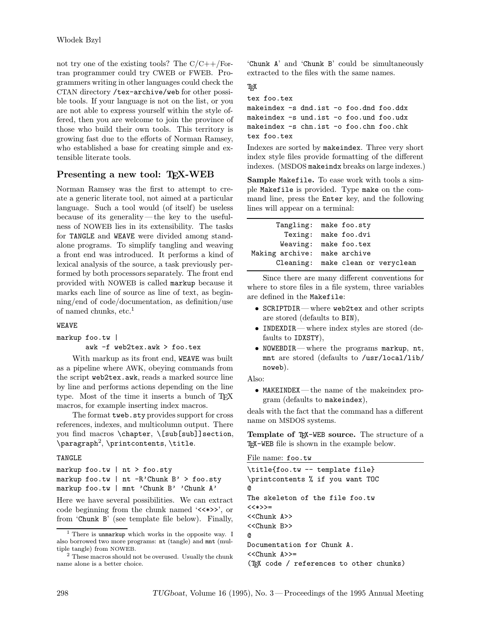not try one of the existing tools? The  $C/C++/For$ tran programmer could try CWEB or FWEB. Programmers writing in other languages could check the CTAN directory /tex-archive/web for other possible tools. If your language is not on the list, or you are not able to express yourself within the style offered, then you are welcome to join the province of those who build their own tools. This territory is growing fast due to the efforts of Norman Ramsey, who established a base for creating simple and extensible literate tools.

## Presenting a new tool: TEX-WEB

Norman Ramsey was the first to attempt to create a generic literate tool, not aimed at a particular language. Such a tool would (of itself) be useless because of its generality—the key to the usefulness of NOWEB lies in its extensibility. The tasks for TANGLE and WEAVE were divided among standalone programs. To simplify tangling and weaving a front end was introduced. It performs a kind of lexical analysis of the source, a task previously performed by both processors separately. The front end provided with NOWEB is called markup because it marks each line of source as line of text, as beginning/end of code/documentation, as definition/use of named chunks, etc.<sup>1</sup>

#### WEAVE

```
markup foo.tw |
       awk -f web2tex.awk > foo.tex
```
With markup as its front end, WEAVE was built as a pipeline where AWK, obeying commands from the script web2tex.awk, reads a marked source line by line and performs actions depending on the line type. Most of the time it inserts a bunch of T<sub>E</sub>X macros, for example inserting index macros.

The format tweb.sty provides support for cross references, indexes, and multicolumn output. There you find macros \chapter, \[sub[sub]]section,  $\{paraph^2, \prime\}$ 

### TANGLE

|  |  | markup foo.tw $ $ nt > foo.sty           |  |
|--|--|------------------------------------------|--|
|  |  | markup foo.tw   nt -R'Chunk B' > foo.sty |  |
|  |  | markup foo.tw   mnt 'Chunk B' 'Chunk A'  |  |

Here we have several possibilities. We can extract code beginning from the chunk named '<<\*>>', or from 'Chunk B' (see template file below). Finally,

```
2 These macros should not be overused. Usually the chunk
name alone is a better choice.
```
'Chunk A' and 'Chunk B' could be simultaneously extracted to the files with the same names.

### TEX

```
tex foo.tex
makeindex -s dnd.ist -o foo.dnd foo.ddx
makeindex -s und.ist -o foo.und foo.udx
makeindex -s chn.ist -o foo.chn foo.chk
tex foo.tex
```
Indexes are sorted by makeindex. Three very short index style files provide formatting of the different indexes. (MSDOS makeindx breaks on large indexes.)

Sample Makefile. To ease work with tools a simple Makefile is provided. Type make on the command line, press the Enter key, and the following lines will appear on a terminal:

|                              | Tangling: make foo.sty            |
|------------------------------|-----------------------------------|
|                              | Texing: make foo.dvi              |
|                              | Weaving: make foo.tex             |
| Making archive: make archive |                                   |
|                              | Cleaning: make clean or veryclean |

Since there are many different conventions for where to store files in a file system, three variables are defined in the Makefile:

- SCRIPTDIR—where web2tex and other scripts are stored (defaults to BIN),
- INDEXDIR—where index styles are stored (defaults to IDXSTY),
- NOWEBDIR—where the programs markup, nt, mnt are stored (defaults to /usr/local/lib/ noweb).

Also:

• MAKEINDEX—the name of the makeindex program (defaults to makeindex),

deals with the fact that the command has a different name on MSDOS systems.

Template of TEX-WEB source. The structure of a TEX-WEB file is shown in the example below.

File name: foo.tw

```
\title{foo.tw -- template file}
\printcontents % if you want TOC
@
The skeleton of the file foo.tw
<<*>>=
<<Chunk A>>
<<Chunk B>>
@
Documentation for Chunk A.
<<Chunk A>>=
(TEX code / references to other chunks)
```
<sup>&</sup>lt;sup>1</sup> There is unmarkup which works in the opposite way. I also borrowed two more programs: nt (tangle) and mnt (multiple tangle) from NOWEB.